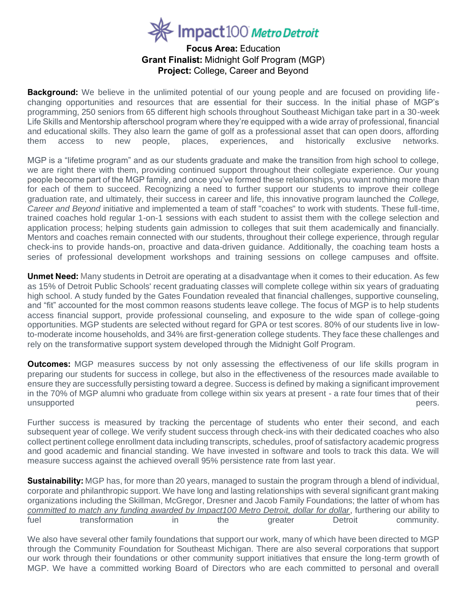## Impact100 Metro Detroit

## **Focus Area:** Education **Grant Finalist:** Midnight Golf Program (MGP) **Project:** College, Career and Beyond

**Background:** We believe in the unlimited potential of our young people and are focused on providing lifechanging opportunities and resources that are essential for their success. In the initial phase of MGP's programming, 250 seniors from 65 different high schools throughout Southeast Michigan take part in a 30-week Life Skills and Mentorship afterschool program where they're equipped with a wide array of professional, financial and educational skills. They also learn the game of golf as a professional asset that can open doors, affording them access to new people, places, experiences, and historically exclusive networks.

MGP is a "lifetime program" and as our students graduate and make the transition from high school to college, we are right there with them, providing continued support throughout their collegiate experience. Our young people become part of the MGP family, and once you've formed these relationships, you want nothing more than for each of them to succeed. Recognizing a need to further support our students to improve their college graduation rate, and ultimately, their success in career and life, this innovative program launched the *College, Career and Beyond* initiative and implemented a team of staff "coaches" to work with students. These full-time, trained coaches hold regular 1-on-1 sessions with each student to assist them with the college selection and application process; helping students gain admission to colleges that suit them academically and financially. Mentors and coaches remain connected with our students, throughout their college experience, through regular check-ins to provide hands-on, proactive and data-driven guidance. Additionally, the coaching team hosts a series of professional development workshops and training sessions on college campuses and offsite.

**Unmet Need:** Many students in Detroit are operating at a disadvantage when it comes to their education. As few as 15% of Detroit Public Schools' recent graduating classes will complete college within six years of graduating high school. A study funded by the Gates Foundation revealed that financial challenges, supportive counseling, and "fit" accounted for the most common reasons students leave college. The focus of MGP is to help students access financial support, provide professional counseling, and exposure to the wide span of college-going opportunities. MGP students are selected without regard for GPA or test scores. 80% of our students live in lowto-moderate income households, and 34% are first-generation college students. They face these challenges and rely on the transformative support system developed through the Midnight Golf Program.

**Outcomes:** MGP measures success by not only assessing the effectiveness of our life skills program in preparing our students for success in college, but also in the effectiveness of the resources made available to ensure they are successfully persisting toward a degree. Success is defined by making a significant improvement in the 70% of MGP alumni who graduate from college within six years at present - a rate four times that of their unsupported peers. The example of the example of the example of the example of the example of the example of the example of the example of the example of the example of the example of the example of the example of the exam

Further success is measured by tracking the percentage of students who enter their second, and each subsequent year of college. We verify student success through check-ins with their dedicated coaches who also collect pertinent college enrollment data including transcripts, schedules, proof of satisfactory academic progress and good academic and financial standing. We have invested in software and tools to track this data. We will measure success against the achieved overall 95% persistence rate from last year.

**Sustainability:** MGP has, for more than 20 years, managed to sustain the program through a blend of individual, corporate and philanthropic support. We have long and lasting relationships with several significant grant making organizations including the Skillman, McGregor, Dresner and Jacob Family Foundations; the latter of whom has *committed to match any funding awarded by Impact100 Metro Detroit, dollar for dollar*, furthering our ability to fuel transformation in the greater Detroit community.

We also have several other family foundations that support our work, many of which have been directed to MGP through the Community Foundation for Southeast Michigan. There are also several corporations that support our work through their foundations or other community support initiatives that ensure the long-term growth of MGP. We have a committed working Board of Directors who are each committed to personal and overall